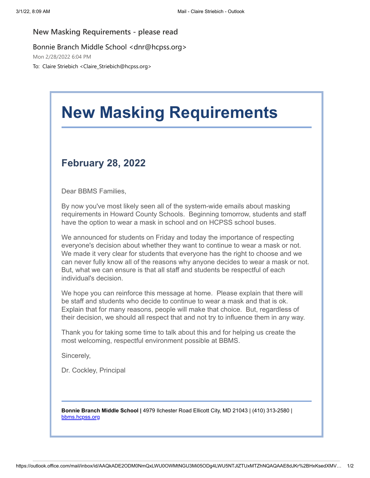## **New Masking Requirements - please read**

## Bonnie Branch Middle School <dnr@hcpss.org>

Mon 2/28/2022 6:04 PM

To: Claire Striebich <Claire\_Striebich@hcpss.org>

## **New Masking Requirements**

## **February 28, 2022**

Dear BBMS Families,

By now you've most likely seen all of the system-wide emails about masking requirements in Howard County Schools. Beginning tomorrow, students and staff have the option to wear a mask in school and on HCPSS school buses.

We announced for students on Friday and today the importance of respecting everyone's decision about whether they want to continue to wear a mask or not. We made it very clear for students that everyone has the right to choose and we can never fully know all of the reasons why anyone decides to wear a mask or not. But, what we can ensure is that all staff and students be respectful of each individual's decision.

We hope you can reinforce this message at home. Please explain that there will be staff and students who decide to continue to wear a mask and that is ok. Explain that for many reasons, people will make that choice. But, regardless of their decision, we should all respect that and not try to influence them in any way.

Thank you for taking some time to talk about this and for helping us create the most welcoming, respectful environment possible at BBMS.

Sincerely,

Dr. Cockley, Principal

**Bonnie Branch Middle School |** 4979 Ilchester Road Ellicott City, MD 21043 | (410) 313-2580 | [bbms.hcpss.org](https://nam10.safelinks.protection.outlook.com/?url=http%3A%2F%2Ftrack.spe.schoolmessenger.com%2Ff%2Fa%2F30wVZk8fu2BdJGF5r5AMgQ~~%2FAAAAAQA~%2FRgRj_oiCP0QWaHR0cDovL2JibXMuaGNwc3Mub3JnL1cHc2Nob29sbUIKYh0CVR1iCfNvwVIaY2xhaXJlX3N0cmllYmljaEBoY3Bzcy5vcmdYBAAAAAE~&data=04%7C01%7Cclaire_striebich%40hcpss.org%7Cb75dc41693584ad2a0c808d9fb0eb102%7C96a9ac4c477e4dada2b28ad3fc46790b%7C1%7C0%7C637816862793795718%7CUnknown%7CTWFpbGZsb3d8eyJWIjoiMC4wLjAwMDAiLCJQIjoiV2luMzIiLCJBTiI6Ik1haWwiLCJXVCI6Mn0%3D%7C3000&sdata=v5sfBCeQ3C%2F0qUfnyqqWnpVm6OooutT3n3pKiJnQvGA%3D&reserved=0)